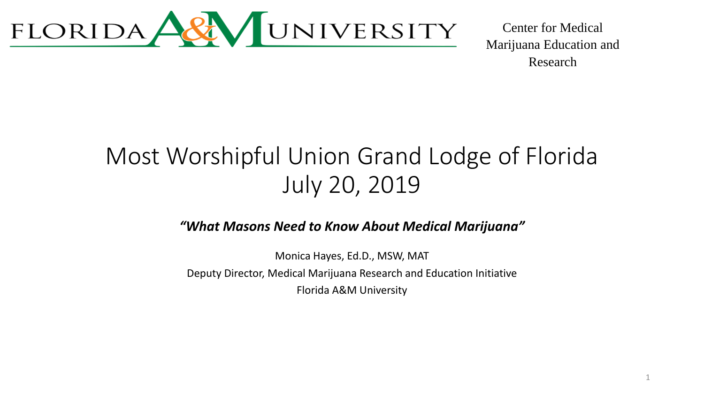

1

### Most Worshipful Union Grand Lodge of Florida July 20, 2019

*"What Masons Need to Know About Medical Marijuana"* 

Monica Hayes, Ed.D., MSW, MAT Deputy Director, Medical Marijuana Research and Education Initiative Florida A&M University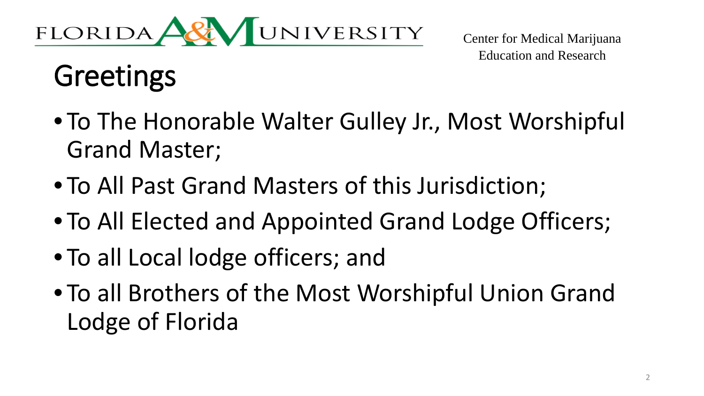

# Greetings

- To The Honorable Walter Gulley Jr., Most Worshipful Grand Master;
- To All Past Grand Masters of this Jurisdiction;
- To All Elected and Appointed Grand Lodge Officers;
- To all Local lodge officers; and
- To all Brothers of the Most Worshipful Union Grand Lodge of Florida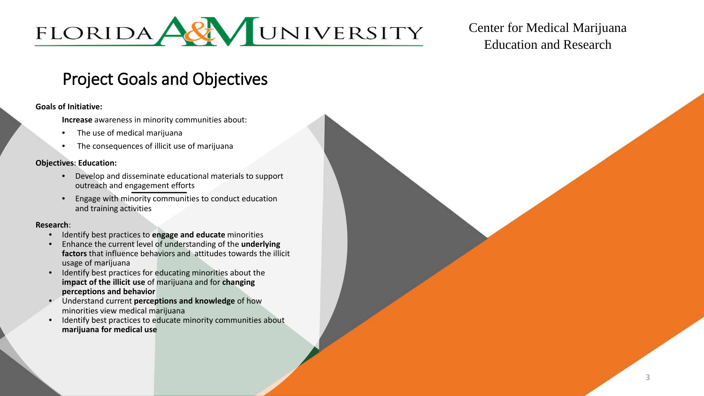

#### Project Goals and Objectives

#### **Goals of Initiative:**

**Increase** awareness in minority communities about:

- The use of medical marijuana
- The consequences of illicit use of marijuana

#### **Objectives**: **Education:**

- Develop and disseminate educational materials to support outreach and engagement efforts
- Engage with minority communities to conduct education and training activities

#### **Research**:

- Identify best practices to **engage and educate** minorities
- Enhance the current level of understanding of the **underlying factors** that influence behaviors and attitudes towards the illicit usage of marijuana
- Identify best practices for educating minorities about the **impact of the illicit use** of marijuana and for **changing perceptions and behavior**
- Understand current **perceptions and knowledge** of how minorities view medical marijuana
- Identify best practices to educate minority communities about **marijuana for medical use**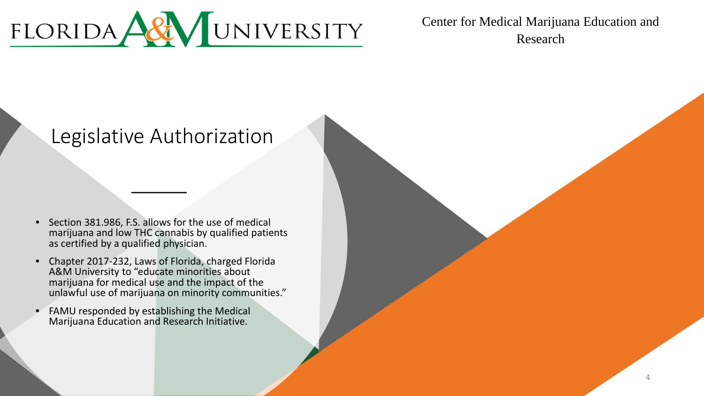

#### Legislative Authorization

- Section 381.986, F.S. allows for the use of medical marijuana and low THC cannabis by qualified patients as certified by a qualified physician.
- Chapter 2017-232, Laws of Florida, charged Florida A&M University to "educate minorities about marijuana for medical use and the impact of the unlawful use of marijuana on minority communities."
- FAMU responded by establishing the Medical Marijuana Education and Research Initiative.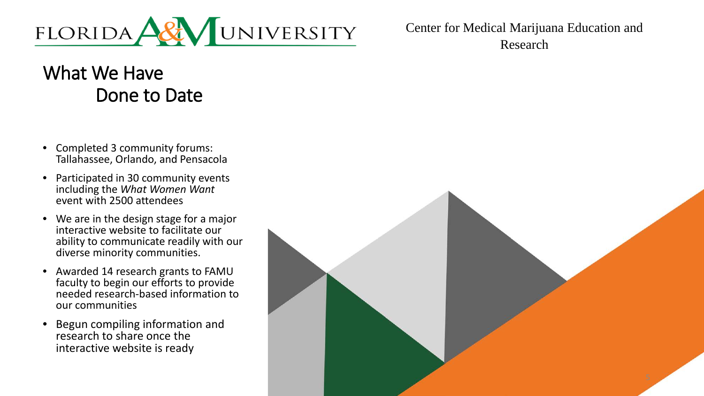

### What We Have Done to Date

- Completed 3 community forums: Tallahassee, Orlando, and Pensacola
- Participated in 30 community events including the *What Women Want*  event with 2500 attendees
- We are in the design stage for a major interactive website to facilitate our ability to communicate readily with our diverse minority communities.
- Awarded 14 research grants to FAMU faculty to begin our efforts to provide needed research-based information to our communities
- Begun compiling information and research to share once the interactive website is ready

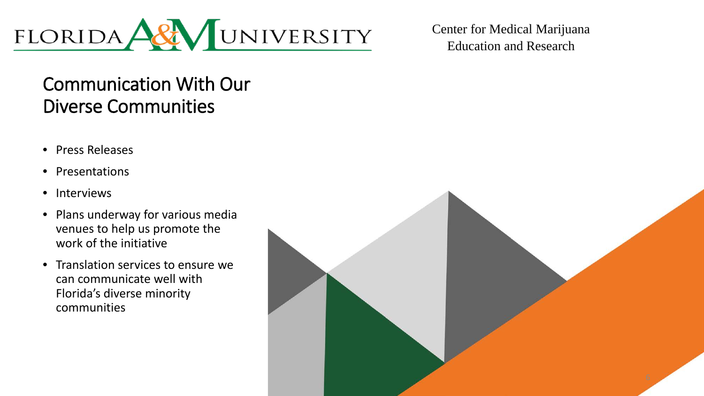

#### Communication With Our Diverse Communities

- Press Releases
- Presentations
- Interviews
- Plans underway for various media venues to help us promote the work of the initiative
- Translation services to ensure we can communicate well with Florida's diverse minority communities

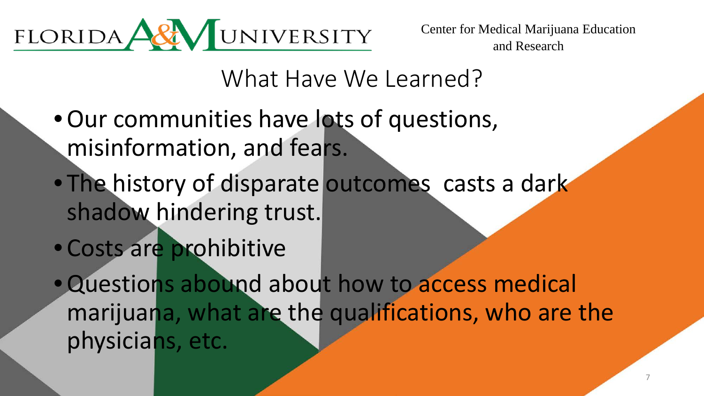

What Have We Learned?

- •Our communities have lots of questions, misinformation, and fears.
- The history of disparate outcomes casts a dark shadow hindering trust.
- Costs are prohibitive
- •Questions abound about how to access medical marijuana, what are the qualifications, who are the physicians, etc.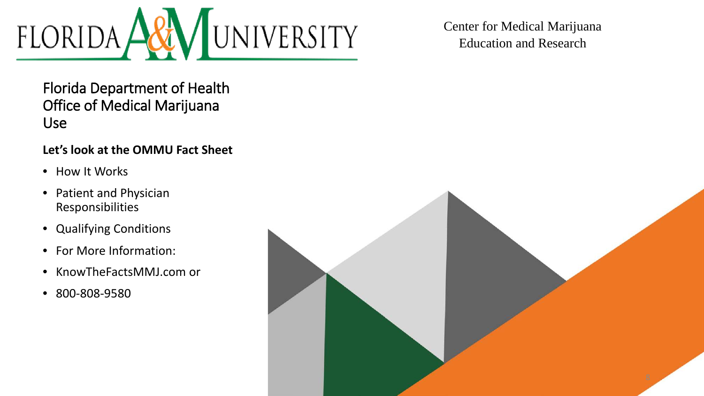

Florida Department of Health Office of Medical Marijuana Use

#### **Let's look at the OMMU Fact Sheet**

- How It Works
- Patient and Physician Responsibilities
- Qualifying Conditions
- For More Information:
- KnowTheFactsMMJ.com or
- 800-808-9580

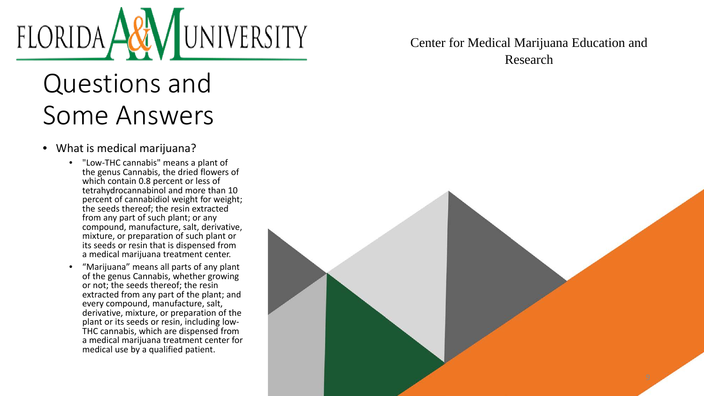# UNIVERSITY FLORIDA,

# Questions and Some Answers

- What is medical marijuana?
	- "Low-THC cannabis" means a plant of the genus Cannabis, the dried flowers of which contain 0.8 percent or less of tetrahydrocannabinol and more than 10 percent of cannabidiol weight for weight; the seeds thereof; the resin extracted from any part of such plant; or any compound, manufacture, salt, derivative, mixture, or preparation of such plant or its seeds or resin that is dispensed from a medical marijuana treatment center.
	- "Marijuana" means all parts of any plant of the genus Cannabis, whether growing or not; the seeds thereof; the resin extracted from any part of the plant; and every compound, manufacture, salt, derivative, mixture, or preparation of the plant or its seeds or resin, including low-THC cannabis, which are dispensed from a medical marijuana treatment center for medical use by a qualified patient.

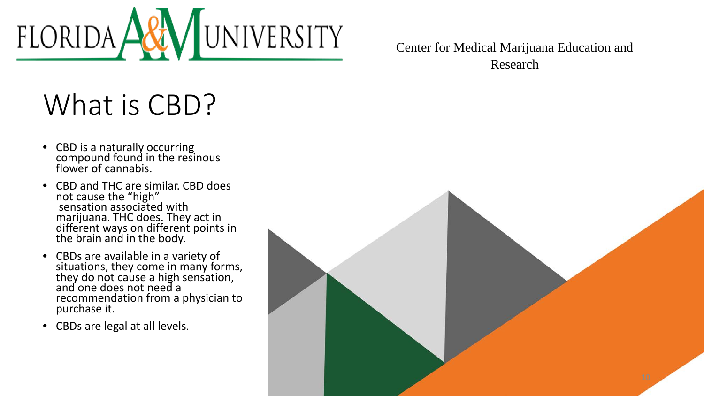

# What is CBD?

- CBD is a naturally occurring compound found in the resinous flower of cannabis.
- CBD and THC are similar. CBD does not cause the "high" sensation associated with marijuana. THC does. They act in different ways on different points in the brain and in the body.
- CBDs are available in a variety of situations, they come in many forms, they do not cause a high sensation, and one does not need a recommendation from a physician to purchase it.
- CBDs are legal at all levels.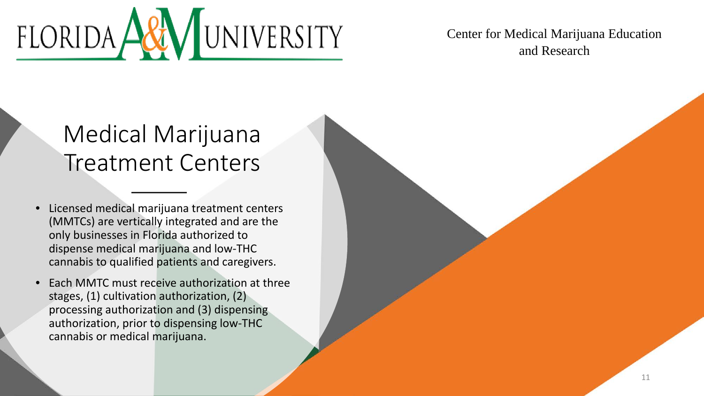

### Medical Marijuana Treatment Centers

- Licensed medical marijuana treatment centers (MMTCs) are vertically integrated and are the only businesses in Florida authorized to dispense medical marijuana and low-THC cannabis to qualified patients and caregivers.
- Each MMTC must receive authorization at three stages, (1) cultivation authorization, (2) processing authorization and (3) dispensing authorization, prior to dispensing low-THC cannabis or medical marijuana.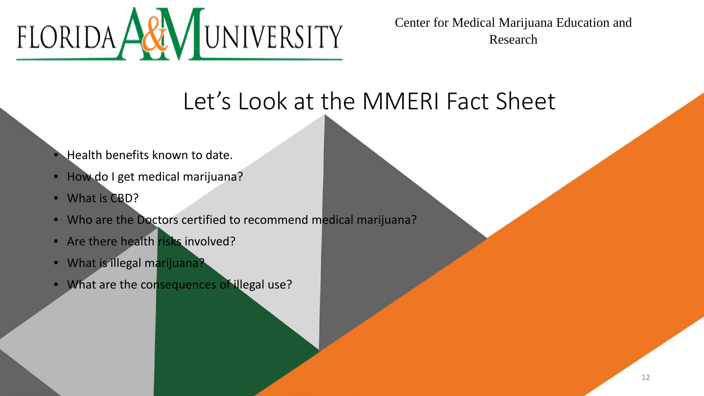

### Let's Look at the MMERI Fact Sheet

- Health benefits known to date.
- How do I get medical marijuana?
- What is CBD?
- Who are the Doctors certified to recommend medical marijuana?
- Are there health risks involved?
- What is illegal marijuana?
- What are the consequences of illegal use?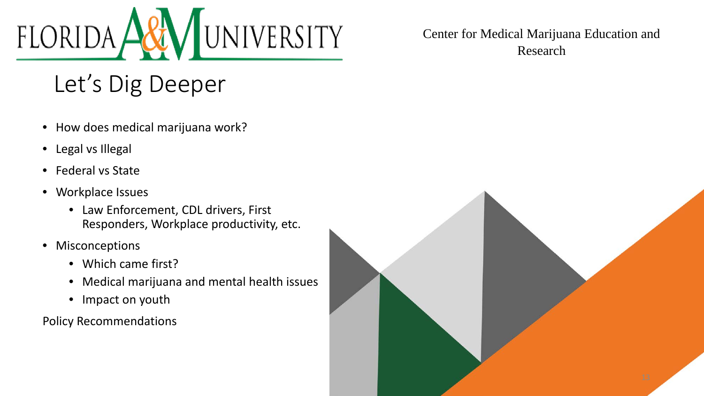

### Let's Dig Deeper

- How does medical marijuana work?
- Legal vs Illegal
- Federal vs State
- Workplace Issues
	- Law Enforcement, CDL drivers, First Responders, Workplace productivity, etc.
- Misconceptions
	- Which came first?
	- Medical marijuana and mental health issues
	- Impact on youth

Policy Recommendations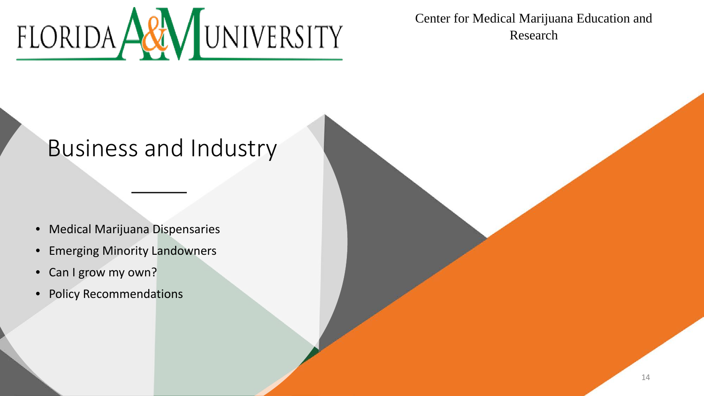

### Business and Industry

- Medical Marijuana Dispensaries
- Emerging Minority Landowners
- Can I grow my own?
- Policy Recommendations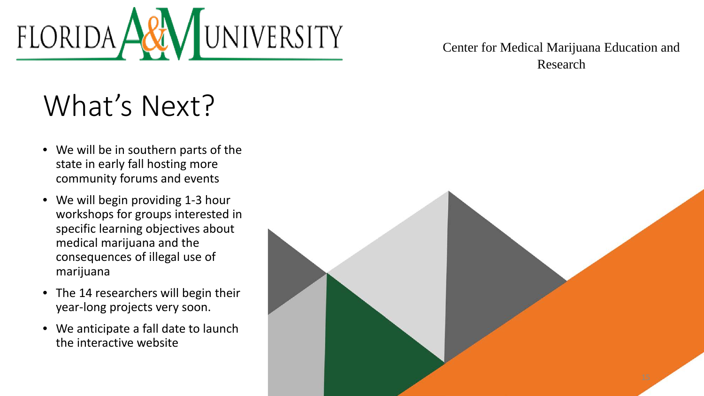

# What's Next?

- We will be in southern parts of the state in early fall hosting more community forums and events
- We will begin providing 1-3 hour workshops for groups interested in specific learning objectives about medical marijuana and the consequences of illegal use of marijuana
- The 14 researchers will begin their year-long projects very soon.
- We anticipate a fall date to launch the interactive website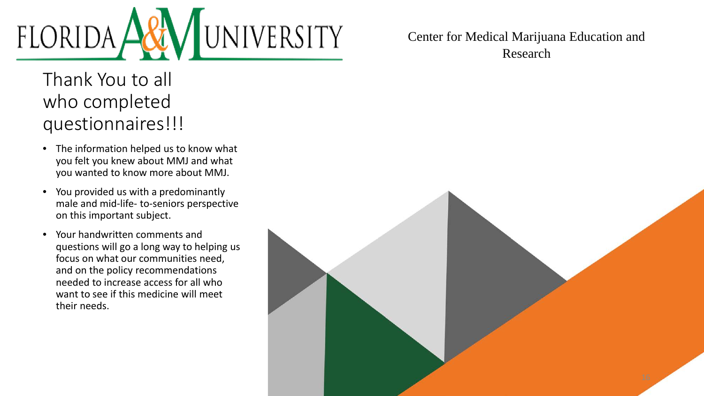

Thank You to all who completed questionnaires!!!

- The information helped us to know what you felt you knew about MMJ and what you wanted to know more about MMJ.
- You provided us with a predominantly male and mid-life- to-seniors perspective on this important subject.
- Your handwritten comments and questions will go a long way to helping us focus on what our communities need, and on the policy recommendations needed to increase access for all who want to see if this medicine will meet their needs.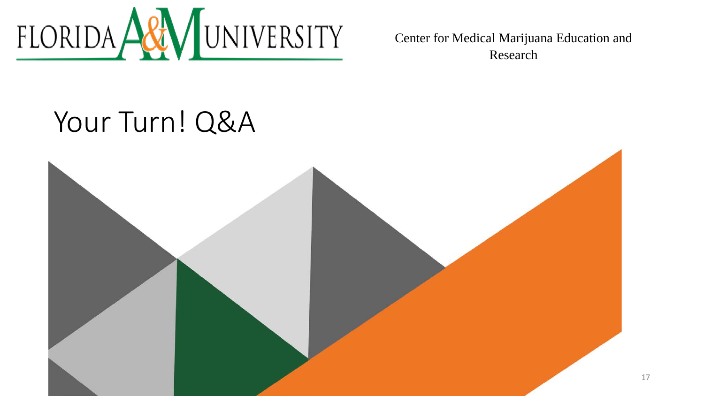

# Your Turn! Q&A